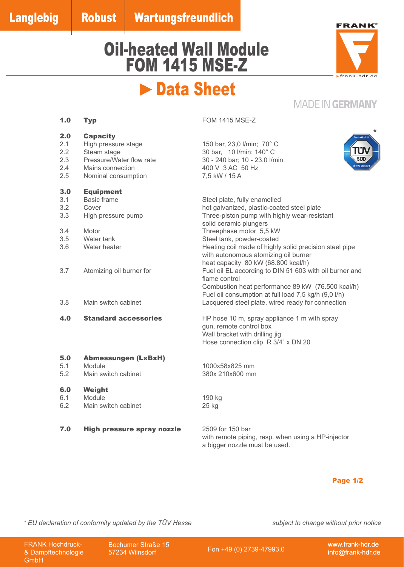# Oil-heated Wall Module FOM 1415 MSE-Z



\*

### **MADE IN GERMANY**

|                                        | Data Sheet                                                                                                                   |                                                                                                                                                                                               |                                       |  |
|----------------------------------------|------------------------------------------------------------------------------------------------------------------------------|-----------------------------------------------------------------------------------------------------------------------------------------------------------------------------------------------|---------------------------------------|--|
|                                        |                                                                                                                              |                                                                                                                                                                                               | <b>MADE IN GERMA</b>                  |  |
| 1.0                                    | <b>Typ</b>                                                                                                                   | <b>FOM 1415 MSE-Z</b>                                                                                                                                                                         |                                       |  |
| 2.0<br>2.1<br>2.2<br>2.3<br>2.4<br>2.5 | <b>Capacity</b><br>High pressure stage<br>Steam stage<br>Pressure/Water flow rate<br>Mains connection<br>Nominal consumption | 150 bar, 23,0 l/min; 70° C<br>30 bar, 10 l/min; 140° C<br>30 - 240 bar; 10 - 23,0 l/min<br>400 V 3 AC 50 Hz<br>7,5 kW / 15 A                                                                  | <b>ServiceQua</b><br>ΓÜ<br><b>SUD</b> |  |
| 3.0<br>3.1<br>3.2<br>3.3               | <b>Equipment</b><br><b>Basic frame</b><br>Cover<br>High pressure pump                                                        | Steel plate, fully enamelled<br>hot galvanized, plastic-coated steel plate<br>Three-piston pump with highly wear-resistant<br>solid ceramic plungers                                          |                                       |  |
| 3.4<br>3.5<br>3.6                      | Motor<br>Water tank<br>Water heater                                                                                          | Threephase motor 5,5 kW<br>Steel tank, powder-coated<br>Heating coil made of highly solid precision steel pipe<br>with autonomous atomizing oil burner<br>heat capacity 80 kW (68.800 kcal/h) |                                       |  |
| 3.7                                    | Atomizing oil burner for                                                                                                     | Fuel oil EL according to DIN 51 603 with oil burner and<br>flame control<br>Combustion heat performance 89 kW (76.500 kcal/h)<br>Fuel oil consumption at full load 7,5 kg/h (9,0 l/h)         |                                       |  |
| 3.8                                    | Main switch cabinet                                                                                                          | Lacquered steel plate, wired ready for connection                                                                                                                                             |                                       |  |
| 4.0                                    | <b>Standard accessories</b>                                                                                                  | HP hose 10 m, spray appliance 1 m with spray<br>gun, remote control box<br>Wall bracket with drilling jig<br>Hose connection clip R 3/4" x DN 20                                              |                                       |  |
| 5.0<br>5.1<br>5.2                      | <b>Abmessungen (LxBxH)</b><br>Module<br>Main switch cabinet                                                                  | 1000x58x825 mm<br>380x 210x600 mm                                                                                                                                                             |                                       |  |
| 6.0<br>6.1<br>6.2                      | Weight<br>Module<br>Main switch cabinet                                                                                      | 190 kg<br>25 kg                                                                                                                                                                               |                                       |  |
| 7.0                                    | <b>High pressure spray nozzle</b>                                                                                            | 2509 for 150 bar<br>with remote piping, resp. when using a HP-injector<br>a bigger nozzle must be used.                                                                                       |                                       |  |
|                                        |                                                                                                                              |                                                                                                                                                                                               | <b>Page 1/2</b>                       |  |
|                                        | aration of conformity updated by the TÜV Hesse                                                                               |                                                                                                                                                                                               | subject to change without prior i     |  |
| lochdruck-<br>echnologie               | <b>Bochumer Straße 15</b><br>57234 Wilnsdorf                                                                                 | Fon +49 (0) 2739-47993.0                                                                                                                                                                      | www.frank-ho<br>info@frank-h          |  |

### Page 1/2

*\* EU declaration of conformity updated by the TÜV Hesse subject to change without prior notice*

FRANK Hochdruck- & Dampftechnologie GmbH

Bochumer Straße 15

www.frank-hdr.de info@frank-hdr.de